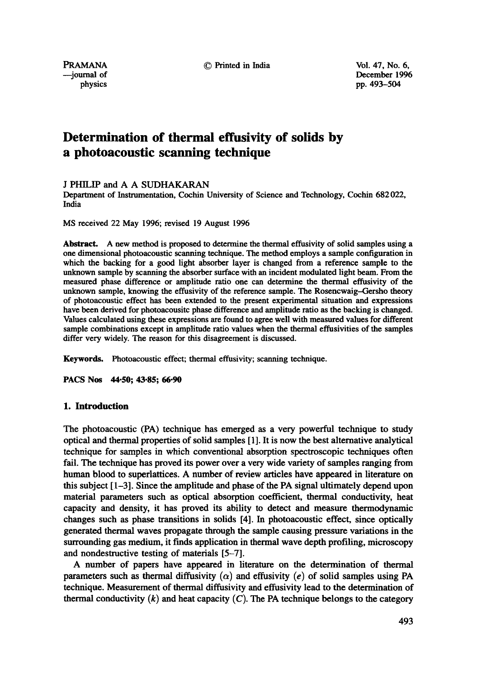PRAMANA © Printed in India Vol. 47, No. 6,

--journal of December 1996 physics pp. 493--504

# **Determination of thermal effusivity of solids by a photoacoustic scanning technique**

J PHILIP and A A SUDHAKARAN

Department of Instrumentation, Cochin University of Science and Technology, Cochin 682 022, India

MS received 22 May 1996; revised 19 August 1996

Abstract. A new method is proposed to determine the thermal effusivity of solid samples using a one dimensional photoacoustic scanning technique. The method employs a sample configuration in which the backing for a good light absorber layer is changed from a reference sample to the unknown sample by scanning the absorber surface with an incident modulated light beam. From the measured phase difference or amplitude ratio one can determine the thermal effusivity of the unknown sample, knowing the effusivity of the reference sample. The Rosencwaig--Gersho theory of photoacoustic effect has been extended to the present experimental situation and expressions have been derived for photoacousitc phase difference and amplitude ratio as the backing is changed. Values calculated using these expressions are found to agree well with measured values for different sample combinations except in amplitude ratio values when the thermal effiasivities of the samples differ very widely. The reason for this disagreement is discussed.

Keywords. Photoacoustic effect; thermal effusivity; scanning technique.

**PACS Nos 44.50; 43-85; 66-90** 

# **1. Introduction**

The photoacoustic (PA) technique has emerged as a very powerful technique to study optical and thermal properties of solid samples [ 1 ]. It is now the best alternative analytical technique for samples in which conventional absorption spectroscopic techniques often fail. The technique has proved its power over a very wide variety of samples ranging from human blood to superlattices. A number of review articles have appeared in literature on this subject [1-3]. Since the amplitude and phase of the PA signal ultimately depend upon material parameters such as optical absorption coefficient, thermal conductivity, heat capacity and density, it has proved its ability to detect and measure thermodynamic changes such as phase transitions in solids [4]. In photoacoustic effect, since optically generated thermal waves propagate through the sample causing pressure variations in the surrounding gas medium, it finds application in thermal wave depth profiling, microscopy and nondestructive testing of materials [5-7].

A number of papers have appeared in literature on the determination of thermal parameters such as thermal diffusivity  $(\alpha)$  and effusivity (e) of solid samples using PA technique. Measurement of thermal diffusivity and effusivity lead to the determination of thermal conductivity  $(k)$  and heat capacity  $(C)$ . The PA technique belongs to the category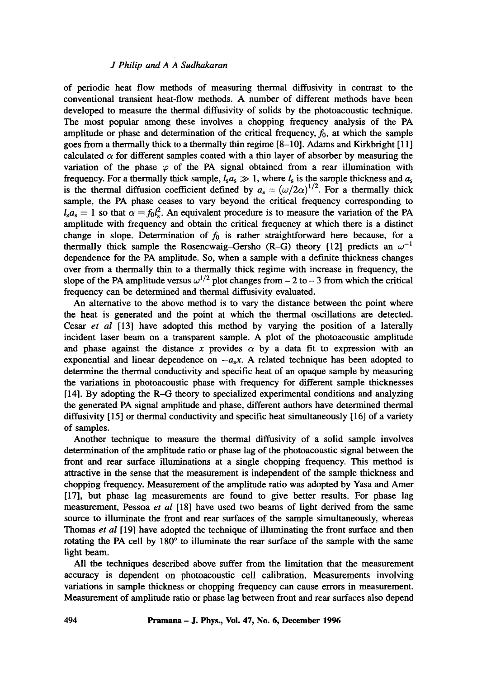of periodic heat flow methods of measuring thermal diffusivity in contrast to the conventional transient heat-flow methods. A number of different methods have been developed to measure the thermal diffusivity of solids by the photoacoustic technique. The most popular among these involves a chopping frequency analysis of the PA amplitude or phase and determination of the critical frequency,  $f_0$ , at which the sample goes from a thermally thick to a thermally thin regime [8-10]. Adams and Kirkbright [11] calculated  $\alpha$  for different samples coated with a thin layer of absorber by measuring the variation of the phase  $\varphi$  of the PA signal obtained from a rear illumination with frequency. For a thermally thick sample,  $l_s a_s \gg 1$ , where  $l_s$  is the sample thickness and  $a_s$ is the thermal diffusion coefficient defined by  $a_s = (\omega/2\alpha)^{1/2}$ . For a thermally thick sample, the PA phase ceases to vary beyond the critical frequency corresponding to  $l_s a_s = 1$  so that  $\alpha = f_0 l_s^2$ . An equivalent procedure is to measure the variation of the PA amplitude with frequency and obtain the critical frequency at which there is a distinct change in slope. Determination of  $f_0$  is rather straightforward here because, for a thermally thick sample the Rosencwaig-Gersho (R-G) theory [12] predicts an  $\omega^{-1}$ dependence for the PA amplitude. So, when a sample with a definite thickness changes over from a thermally thin to a thermally thick regime with increase in frequency, the slope of the PA amplitude versus  $\omega^{1/2}$  plot changes from  $-2$  to  $-3$  from which the critical frequency can be determined and thermal diffusivity evaluated.

An alternative to the above method is to vary the distance between the point where the heat is generated and the point at which the thermal oscillations are detected. Cesar *et al* [13] have adopted this method by varying the position of a laterally incident laser beam on a transparent sample. A plot of the photoacoustic amplitude and phase against the distance x provides  $\alpha$  by a data fit to expression with an exponential and linear dependence on  $-a<sub>s</sub>x$ . A related technique has been adopted to determine the thermal conductivity and specific heat of an opaque sample by measuring the variations in photoacoustic phase with frequency for different sample thicknesses  $[14]$ . By adopting the R-G theory to specialized experimental conditions and analyzing the generated PA signal amplitude and phase, different authors have determined thermal diffusivity [15] or thermal conductivity and specific heat simultaneously [16] of a variety of samples.

Another technique to measure the thermal diffusivity of a solid sample involves determination of the amplitude ratio or phase lag of the photoacoustic signal between the front and rear surface illuminations at a single chopping frequency. This method is attractive in the sense that the measurement is independent of the sample thickness and chopping frequency. Measurement of the amplitude ratio was adopted by Yasa and Amer [17], but phase lag measurements are found to give better results. For phase lag measurement, Pessoa *et al* [18] have used two beams of light derived from the same source to illuminate the front and rear surfaces of the sample simultaneously, whereas Thomas *et al* [ 19] have adopted the technique of illuminating the front surface and then rotating the PA cell by  $180^\circ$  to illuminate the rear surface of the sample with the same light beam.

All the techniques described above suffer from the limitation that the measurement accuracy is dependent on photoacoustic cell calibration. Measurements involving variations in sample thickness or chopping frequency can cause errors in measurement. Measurement of amplitude ratio or phase lag between front and rear surfaces also depend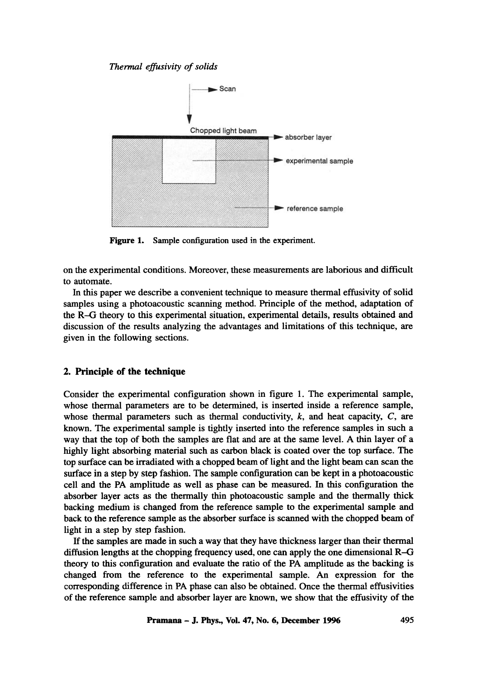

**Figure 1. Sample configuration used in the experiment.** 

on the experimental conditions. Moreover, these measurements are laborious and difficult to automate.

In this paper we describe a convenient technique to measure thermal effusivity of solid samples using a photoacoustic scanning method. Principle of the method, adaptation of the R--G theory to this experimental situation, experimental details, results obtained and discussion of the results analyzing the advantages and limitations of this technique, are given in the following sections.

# **2. Principle of the technique**

Consider the experimental configuration shown in figure 1. The experimental sample, whose thermal parameters are to be determined, is inserted inside a reference sample, whose thermal parameters such as thermal conductivity,  $k$ , and heat capacity,  $C$ , are known. The experimental sample is tightly inserted into the reference samples in such a way that the top of both the samples are flat and are at the same level. A thin layer of a highly light absorbing material such as carbon black is coated over the top surface. The top surface can be irradiated with a chopped beam of light and the light beam can scan the surface in a step by step fashion. The sample configuration can be kept in a photoacoustic cell and the PA amplitude as well as phase can be measured. In this configuration the absorber layer acts as the thermally thin photoacoustic sample and the thermally thick backing medium is changed from the reference sample to the experimental sample and back to the reference sample as the absorber surface is scanned with the chopped beam of light in a step by step fashion.

If the samples are made in such a way that they have thickness larger than their thermal diffusion lengths at the chopping frequency used, one can apply the one dimensional R-G theory to this configuration and evaluate the ratio of the PA amplitude as the backing is changed from the reference to the experimental sample. An expression for the corresponding difference in PA phase can also be obtained. Once the thermal effusivities of the reference sample and absorber layer are known, we show that the effusivity of the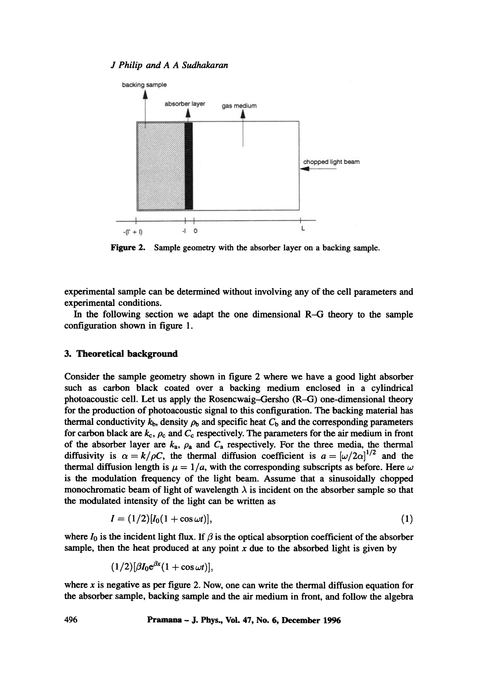

**Figure 2.**  Sample geometry with the absorber layer on a backing sample.

experimental sample can be determined without involving any of the cell parameters and experimental conditions.

In the following section we adapt the one dimensional R-G theory to the sample configuration shown in figure 1.

# **3. Theoretical background**

Consider the sample geometry shown in figure 2 where we have a good light absorber such as carbon black coated over a backing medium enclosed in a cylindrical photoacoustic cell. Let us apply the Rosencwaig--Gersho (R-G) one-dimensional theory for the production of photoacoustic signal to this configuration. The backing material has thermal conductivity  $k_b$ , density  $\rho_b$  and specific heat  $C_b$  and the corresponding parameters for carbon black are  $k_c$ ,  $\rho_c$  and  $C_c$  respectively. The parameters for the air medium in front of the absorber layer are  $k_a$ ,  $\rho_a$  and  $C_a$  respectively. For the three media, the thermal diffusivity is  $\alpha = k/\rho C$ , the thermal diffusion coefficient is  $a = [\omega/2\alpha]^{1/2}$  and the thermal diffusion length is  $\mu = 1/a$ , with the corresponding subscripts as before. Here  $\omega$ is the modulation frequency of the light beam. Assume that a sinusoidally chopped monochromatic beam of light of wavelength  $\lambda$  is incident on the absorber sample so that the modulated intensity of the light can be written as

$$
I = (1/2)[I_0(1 + \cos \omega t)], \tag{1}
$$

where  $I_0$  is the incident light flux. If  $\beta$  is the optical absorption coefficient of the absorber sample, then the heat produced at any point  $x$  due to the absorbed light is given by

$$
(1/2)[\beta I_0 e^{\beta x}(1+\cos \omega t)],
$$

where  $x$  is negative as per figure 2. Now, one can write the thermal diffusion equation for the absorber sample, backing sample and the air medium in front, and follow the algebra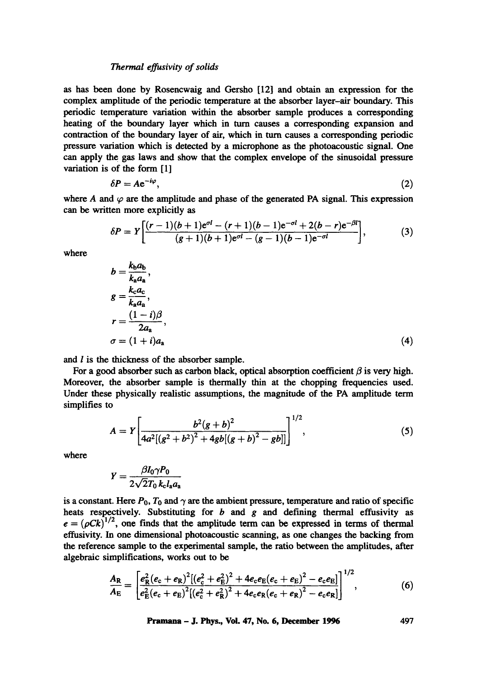as has been done by Rosencwaig and Gersho [12] and obtain an expression for the complex amplitude of the periodic temperature at the absorber layer-air boundary. This periodic temperature variation within the absorber sample produces a corresponding heating of the boundary layer which in turn causes a corresponding expansion and contraction of the boundary layer of air, which in turn causes a corresponding periodic pressure variation which is detected by a microphone as the photoacoustic signal. One can apply the gas laws and show that the complex envelope of the sinusoidal pressure variation is of the form [1]

$$
\delta P = A e^{-i\varphi},\tag{2}
$$

where A and  $\varphi$  are the amplitude and phase of the generated PA signal. This expression can be written more explicitly as

$$
\delta P = Y \left[ \frac{(r-1)(b+1)e^{\sigma l} - (r+1)(b-1)e^{-\sigma l} + 2(b-r)e^{-\beta l}}{(g+1)(b+1)e^{\sigma l} - (g-1)(b-1)e^{-\sigma l}} \right],
$$
\n(3)

where

$$
b = \frac{k_{b}a_{b}}{k_{a}a_{a}},
$$
  
\n
$$
g = \frac{k_{c}a_{c}}{k_{a}a_{a}},
$$
  
\n
$$
r = \frac{(1-i)\beta}{2a_{a}},
$$
  
\n
$$
\sigma = (1+i)a_{a}
$$
 (4)

and  $l$  is the thickness of the absorber sample.

For a good absorber such as carbon black, optical absorption coefficient  $\beta$  is very high. Moreover, the absorber sample is thermally thin at the chopping frequencies used. Under these physically realistic assumptions, the magnitude of the PA amplitude term simplifies to

$$
A = Y \left[ \frac{b^2 (g+b)^2}{4a^2 [(g^2+b^2)^2 + 4gb[(g+b)^2 - gb]]} \right]^{1/2}, \tag{5}
$$

where

$$
Y=\frac{\beta I_0 \gamma P_0}{2\sqrt{2}T_0 k_c l_a a_a}
$$

is a constant. Here  $P_0$ ,  $T_0$  and  $\gamma$  are the ambient pressure, temperature and ratio of specific heats respectively. Substituting for  $b$  and  $g$  and defining thermal effusivity as  $e = (\rho Ck)^{1/2}$ , one finds that the amplitude term can be expressed in terms of thermal effusivity. In one dimensional photoacoustic scanning, as one changes the backing from the reference sample to the experimental sample, the ratio between the amplitudes, after algebraic simplifications, works out to be

$$
\frac{A_{\rm R}}{A_{\rm E}} = \left[ \frac{e_{\rm R}^2 (e_{\rm c} + e_{\rm R})^2 [(e_{\rm c}^2 + e_{\rm E}^2)^2 + 4e_{\rm c}e_{\rm E}(e_{\rm c} + e_{\rm E})^2 - e_{\rm c}e_{\rm E}]}{e_{\rm E}^2 (e_{\rm c} + e_{\rm E})^2 [(e_{\rm c}^2 + e_{\rm R}^2)^2 + 4e_{\rm c}e_{\rm R}(e_{\rm c} + e_{\rm R})^2 - e_{\rm c}e_{\rm R}]} \right]^{1/2},\tag{6}
$$

**Pramana - J. Phys., Vol. 47, No. 6, December 1996 497**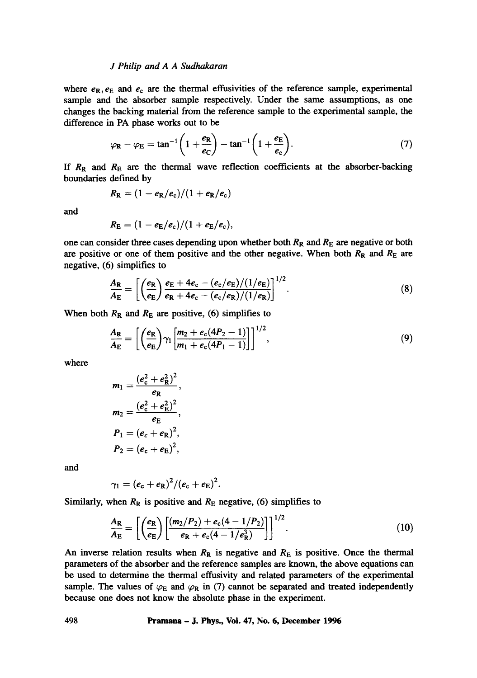where  $e_R, e_E$  and  $e_C$  are the thermal effusivities of the reference sample, experimental sample and the absorber sample respectively. Under the same assumptions, as one changes the backing material from the reference sample to the experimental sample, the difference in PA phase works out to be

$$
\varphi_{\mathbf{R}} - \varphi_{\mathbf{E}} = \tan^{-1}\left(1 + \frac{e_{\mathbf{R}}}{e_{\mathbf{C}}}\right) - \tan^{-1}\left(1 + \frac{e_{\mathbf{E}}}{e_{\mathbf{C}}}\right). \tag{7}
$$

If  $R_R$  and  $R_E$  are the thermal wave reflection coefficients at the absorber-backing boundaries defined by

$$
R_{\rm R} = (1 - e_{\rm R}/e_{\rm c})/(1 + e_{\rm R}/e_{\rm c})
$$

and

$$
R_{\rm E} = (1 - e_{\rm E}/e_{\rm c})/(1 + e_{\rm E}/e_{\rm c}),
$$

one can consider three cases depending upon whether both  $R<sub>R</sub>$  and  $R<sub>E</sub>$  are negative or both are positive or one of them positive and the other negative. When both  $R_R$  and  $R_E$  are negative, (6) simplifies to

$$
\frac{A_{\rm R}}{A_{\rm E}} = \left[ \left( \frac{e_{\rm R}}{e_{\rm E}} \right) \frac{e_{\rm E} + 4e_{\rm c} - (e_{\rm c}/e_{\rm E})/(1/e_{\rm E})}{e_{\rm R} + 4e_{\rm c} - (e_{\rm c}/e_{\rm R})/(1/e_{\rm R})} \right]^{1/2}.
$$
\n(8)

When both  $R_R$  and  $R_E$  are positive, (6) simplifies to

$$
\frac{A_{\rm R}}{A_{\rm E}} = \left[ \left( \frac{e_{\rm R}}{e_{\rm E}} \right) \gamma_1 \left[ \frac{m_2 + e_{\rm c} (4P_2 - 1)}{m_1 + e_{\rm c} (4P_1 - 1)} \right] \right]^{1/2},\tag{9}
$$

where

$$
m_1 = \frac{(e_c^2 + e_R^2)^2}{e_R},
$$
  
\n
$$
m_2 = \frac{(e_c^2 + e_E^2)^2}{e_E},
$$
  
\n
$$
P_1 = (e_c + e_R)^2,
$$
  
\n
$$
P_2 = (e_c + e_E)^2,
$$

and

$$
\gamma_1 = (e_c + e_R)^2 / (e_c + e_E)^2.
$$

Similarly, when  $R_R$  is positive and  $R_E$  negative, (6) simplifies to

$$
\frac{A_{\rm R}}{A_{\rm E}} = \left[ \left( \frac{e_{\rm R}}{e_{\rm E}} \right) \left[ \frac{(m_2/P_2) + e_{\rm c}(4 - 1/P_2)}{e_{\rm R} + e_{\rm c}(4 - 1/e_{\rm R}^3)} \right] \right]^{1/2}.
$$
\n(10)

An inverse relation results when  $R_R$  is negative and  $R_E$  is positive. Once the thermal parameters of the absorber and the reference samples are known, the above equations can be used to determine the thermal effusivity and related parameters of the experimental sample. The values of  $\varphi_E$  and  $\varphi_R$  in (7) cannot be separated and treated independently because one does not know the absolute phase in the experiment.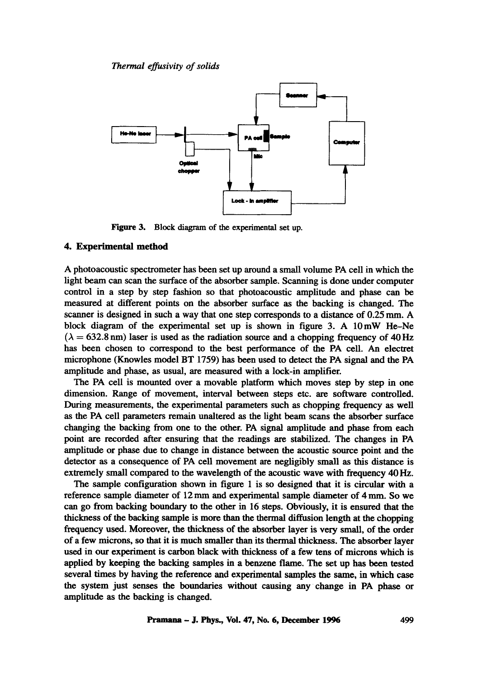

Figure 3. Block diagram of the experimental set up.

# 4. Experimental **method**

A photoacoustic spectrometer has been set up around a small volume PA cell in which the light beam can scan the surface of the absorber sample. Scanning is done under computer control in a step by step fashion so that photoacoustic amplitude and phase can be measured at different points on the absorber surface as the backing is changed. The scanner is designed in such a way that one step corresponds to a distance of 0.25 mm. A block diagram of the experimental set up is shown in figure 3. A  $10 \text{ mW}$  He-Ne  $(\lambda = 632.8 \text{ nm})$  laser is used as the radiation source and a chopping frequency of 40 Hz has been chosen to correspond to the best performance of the PA cell. An electret microphone (Knowles model BT 1759) has been used to detect the PA signal and the PA amplitude and phase, as usual, are measured with a lock-in amplifier.

The PA cell is mounted over a movable platform which moves step by step in one dimension. Range of movement, interval between steps etc. are software controlled. During measurements, the experimental parameters such as chopping frequency as well as the PA cell parameters remain unaltered as the light beam scans the absorber surface changing the backing from one to the other. PA signal amplitude and phase from each point are recorded after ensuring that the readings are stabilized. The changes in PA amplitude or phase due to change in distance between the acoustic source point and the detector as a consequence of PA cell movement are negligibly small as this distance is extremely small compared to the wavelength of the acoustic wave with frequency 40 Hz.

The sample configuration shown in figure 1 is so designed that it is circular with a reference sample diameter of 12 mm and experimental sample diameter of 4 mm. So we can go from backing boundary to the other in 16 steps. Obviously, it is ensured that the thickness of the backing sample is more than the thermal diffusion length at the chopping frequency used. Moreover, the thickness of the absorber layer is very small, of the order of a few microns, so that it is much smaller than its thermal thickness. The absorber layer used in our experiment is carbon black with thickness of a few tens of microns which is applied by keeping the backing samples in a benzene flame. The set up has been tested several times by having the reference and experimental samples the same, in which case the system just senses the boundaries without causing any change in PA phase or amplitude as the backing is changed.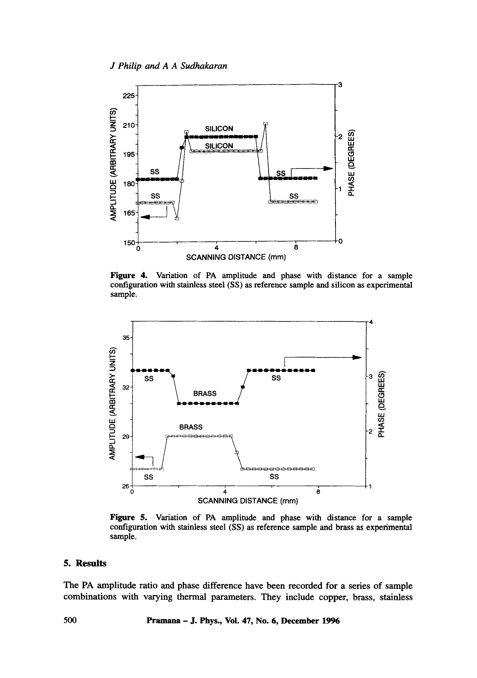

Figure 4. Variation of PA amplitude and phase with distance for a sample configuration with stainless steel (SS) as reference sample and silicon as experimental sample.



Figure 5. Variation of PA amplitude and phase with distance for a sample configuration with stainless steel (SS) as reference sample and brass as experimental sample.

# **5. Results**

The PA amplitude ratio and phase difference have been recorded for a series of sample combinations with varying thermal parameters. They include copper, brass, stainless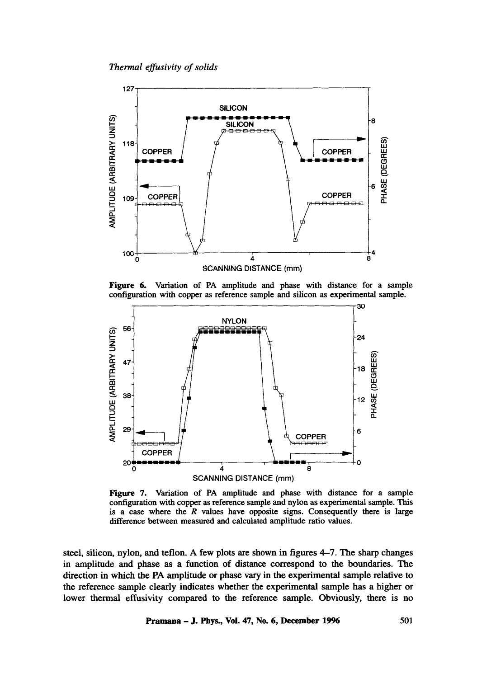

Figure 6. Variation of PA amplitude and phase with distance for a sample configuration with copper as reference sample and silicon as experimental sample.



Figure 7. Variation of PA amplitude and phase with distance for a sample configuration with copper as reference sample and nylon as experimental sample. This is a case where the  $R$  values have opposite signs. Consequently there is large difference between measured and calculated amplitude ratio values.

steel, silicon, nylon, and teflon. A few plots are shown in figures 4-7. The sharp changes in amplitude and phase as a function of distance correspond to the boundaries. The direction in which the PA amplitude or phase vary in the experimental sample relative to the reference sample clearly indicates whether the experimental sample has a higher or lower thermal effusivity compared to the reference sample. Obviously, there is no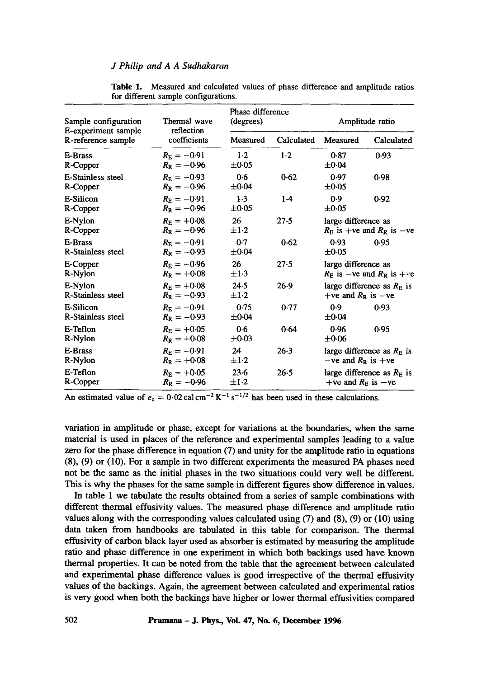| Sample configuration<br>E-experiment sample<br>R-reference sample | Thermal wave<br>reflection<br>coefficients | Phase difference<br>(degrees) |            | Amplitude ratio                                                    |            |
|-------------------------------------------------------------------|--------------------------------------------|-------------------------------|------------|--------------------------------------------------------------------|------------|
|                                                                   |                                            | Measured                      | Calculated | Measured                                                           | Calculated |
| E-Brass<br>R-Copper                                               | $R_{\rm F} = -0.91$<br>$R_{\rm R} = -0.96$ | $1-2$<br>$\pm 0.05$           | $1-2$      | 0.87<br>$\pm 0.04$                                                 | 0.93       |
| E-Stainless steel<br>R-Copper                                     | $R_{\rm F} = -0.93$<br>$R_{\rm B} = -0.96$ | 0.6<br>$\pm 0.04$             | 0.62       | 0.97<br>$\pm 0.05$                                                 | 0.98       |
| E-Silicon<br>R-Copper                                             | $R_{\rm F} = -0.91$<br>$R_{\rm R} = -0.96$ | $1-3$<br>$\pm 0.05$           | $1-4$      | 0.9<br>$\pm 0.05$                                                  | 0.92       |
| E-Nylon<br>R-Copper                                               | $R_{\rm F} = +0.08$<br>$R_{\rm R} = -0.96$ | 26<br>$\pm 1.2$               | 27.5       | large difference as<br>$R_{\rm E}$ is +ve and $R_{\rm R}$ is -ve   |            |
| <b>E-Brass</b><br><b>R-Stainless steel</b>                        | $R_{\rm E} = -0.91$<br>$R_{\rm R} = -0.93$ | 0.7<br>$\pm 0.04$             | 0.62       | 0.93<br>$\pm 0.05$                                                 | 0.95       |
| E-Copper<br>R-Nylon                                               | $R_{\rm F} = -0.96$<br>$R_{\rm R} = +0.08$ | 26<br>$\pm 1.3$               | 27.5       | large difference as<br>$R_{\rm E}$ is -ve and $R_{\rm R}$ is + · e |            |
| E-Nylon<br><b>R-Stainless steel</b>                               | $R_{\rm E} = +0.08$<br>$R_{\rm R} = -0.93$ | 24.5<br>$\pm 1.2$             | 26.9       | large difference as $RE$ is<br>+ve and $R_R$ is -ve                |            |
| E-Silicon<br>R-Stainless steel                                    | $R_{\rm E} = -0.91$<br>$R_{\rm R} = -0.93$ | 0.75<br>$\pm 0.04$            | 0.77       | 0.9<br>$\pm 0.04$                                                  | 0.93       |
| E-Teflon<br>R-Nylon                                               | $R_{\rm F} = +0.05$<br>$R_{\rm R} = +0.08$ | 0.6<br>$\pm 0.03$             | 0.64       | 0.96<br>$\pm 0.06$                                                 | 0.95       |
| E-Brass<br>R-Nylon                                                | $R_{\rm F} = -0.91$<br>$R_{\rm R} = +0.08$ | 24<br>$\pm 1.2$               | $26-3$     | large difference as $R_F$ is<br>$-ve$ and $R_R$ is $+ve$           |            |
| E-Teflon<br>R-Copper                                              | $R_{\rm E} = +0.05$<br>$R_{\rm R} = -0.96$ | 23.6<br>$\pm 1.2$             | 26.5       | large difference as $RE$ is<br>+ve and $R_{\rm E}$ is -ve          |            |

**Table** 1. Measured and calculated values of phase difference and amplitude ratios for different sample configurations.

An estimated value of  $e_c = 0.02$  cal cm<sup>-2</sup> K<sup>-1</sup> s<sup>-1/2</sup> has been used in these calculations.

variation in amplitude or phase, except for variations at the boundaries, when the same material is used in places of the reference and experimental samples leading to a value zero for the phase difference in equation (7) and unity for the amplitude ratio in equations (8), (9) or (10). For a sample in two different experiments the measured PA phases need not be the same as the initial phases in the two situations could very well be different. This is why the phases for the same sample in different figures show difference in values.

In table 1 we tabulate the results obtained from a series of sample combinations with different thermal effusivity values. The measured phase difference and amplitude ratio values along with the corresponding values calculated using (7) and (8), (9) or (10) using data taken from handbooks are tabulated in this table for comparison. The thermal effusivity of carbon black layer used as absorber is estimated by measuring the amplitude ratio and phase difference in one experiment in which both backings used have known thermal properties. It can be noted from the table that the agreement between calculated and experimental phase difference values is good irrespective of the thermal effusivity values of the backings. Again, the agreement between calculated and experimental ratios is very good when both the backings have higher or lower thermal effusivities compared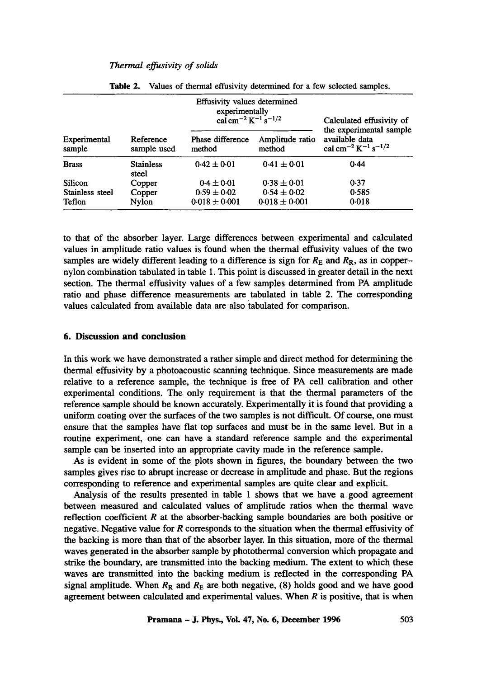|                        |                           | Effusivity values determined<br>experimentally<br>cal cm <sup>-2</sup> K <sup>-1</sup> s <sup>-1/2</sup> | Calculated effusivity of<br>the experimental sample |                                                                          |
|------------------------|---------------------------|----------------------------------------------------------------------------------------------------------|-----------------------------------------------------|--------------------------------------------------------------------------|
| Experimental<br>sample | Reference<br>sample used  | <b>Phase difference</b><br>method                                                                        | Amplitude ratio<br>method                           | available data<br>cal cm <sup>-2</sup> K <sup>-1</sup> s <sup>-1/2</sup> |
| <b>Brass</b>           | <b>Stainless</b><br>steel | $0.42 \pm 0.01$                                                                                          | $0.41 \pm 0.01$                                     | 0.44                                                                     |
| Silicon                | Copper                    | $0.4 \pm 0.01$                                                                                           | $0.38 \pm 0.01$                                     | 0.37                                                                     |
| Stainless steel        | Copper                    | $0.59 \pm 0.02$                                                                                          | $0.54 \pm 0.02$                                     | 0.585                                                                    |
| Teflon                 | Nylon                     | $0.018 \pm 0.001$                                                                                        | $0.018 \pm 0.001$                                   | 0.018                                                                    |

Table 2. Values of thermal effusivity determined for a few selected samples.

to that of the absorber layer. Large differences between experimental and calculated values in amplitude ratio values is found when the thermal effusivity values of the two samples are widely different leading to a difference is sign for  $R<sub>E</sub>$  and  $R<sub>R</sub>$ , as in coppernylon combination tabulated in table 1. This point is discussed in greater detail in the next section. The thermal effusivity values of a few samples determined from PA amplitude ratio and phase difference measurements are tabulated in table 2. The corresponding values calculated from available data are also tabulated for comparison.

## **6. Discussion and conclusion**

In this work we have demonstrated a rather simple and direct method for determining the thermal effusivity by a photoacoustic scanning technique. Since measurements are made relative to a reference sample, the technique is free of PA cell calibration and other experimental conditions. The only requirement is that the thermal parameters of the reference sample should be known accurately. Experimentally it is found that providing a uniform coating over the surfaces of the two samples is not difficult. Of course, one must ensure that the samples have flat top surfaces and must be in the same level. But in a routine experiment, one can have a standard reference sample and the experimental sample can be inserted into an appropriate cavity made in the reference sample.

As is evident in some of the plots shown in figures, the boundary between the two samples gives rise to abrupt increase or decrease in amplitude and phase. But the regions corresponding to reference and experimental samples are quite clear and explicit.

Analysis of the results presented in table 1 shows that we have a good agreement between measured and calculated values of amplitude ratios when the thermal wave reflection coefficient  $R$  at the absorber-backing sample boundaries are both positive or negative. Negative value for  $R$  corresponds to the situation when the thermal effusivity of the backing is more than that of the absorber layer. In this situation, more of the thermal waves generated in the absorber sample by photothermal conversion which propagate and strike the boundary, are transmitted into the backing medium. The extent to which these waves are transmitted into the backing medium is reflected in the corresponding PA signal amplitude. When  $R_R$  and  $R_E$  are both negative, (8) holds good and we have good agreement between calculated and experimental values. When  $R$  is positive, that is when